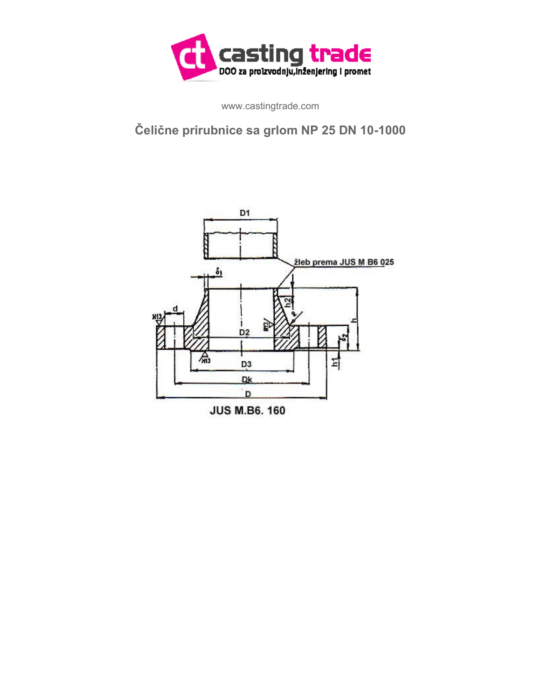

www.castingtrade.com

## **Čelične prirubnice sa grlom NP 25 DN 10-1000**